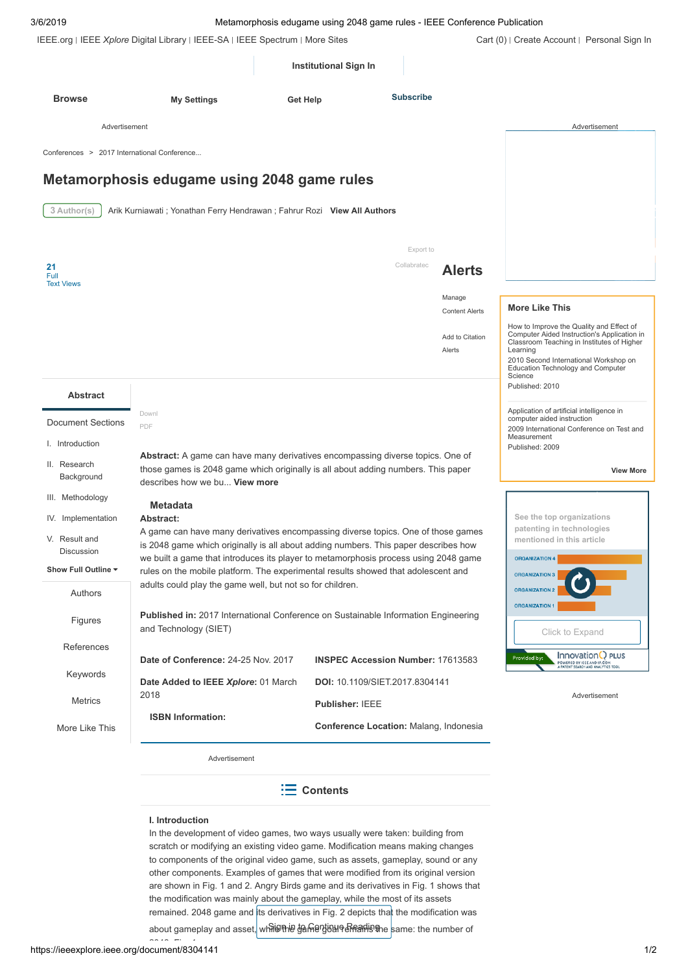| 3/6/2019                                    | Metamorphosis edugame using 2048 game rules - IEEE Conference Publication                                                                                                                            |                                          |                  |                                 |                                                                                                                                                        |
|---------------------------------------------|------------------------------------------------------------------------------------------------------------------------------------------------------------------------------------------------------|------------------------------------------|------------------|---------------------------------|--------------------------------------------------------------------------------------------------------------------------------------------------------|
|                                             | IEEE.org   IEEE Xplore Digital Library   IEEE-SA   IEEE Spectrum   More Sites                                                                                                                        |                                          |                  |                                 | Cart (0)   Create Account   Personal Sign In                                                                                                           |
|                                             |                                                                                                                                                                                                      | <b>Institutional Sign In</b>             |                  |                                 |                                                                                                                                                        |
| <b>Browse</b>                               | <b>My Settings</b>                                                                                                                                                                                   | Get Help                                 | <b>Subscribe</b> |                                 |                                                                                                                                                        |
| Advertisement                               |                                                                                                                                                                                                      |                                          |                  |                                 | Advertisement                                                                                                                                          |
| Conferences > 2017 International Conference |                                                                                                                                                                                                      |                                          |                  |                                 |                                                                                                                                                        |
|                                             | Metamorphosis edugame using 2048 game rules                                                                                                                                                          |                                          |                  |                                 |                                                                                                                                                        |
| 3 Author(s)                                 | Arik Kurniawati; Yonathan Ferry Hendrawan; Fahrur Rozi View All Authors                                                                                                                              |                                          |                  |                                 |                                                                                                                                                        |
|                                             |                                                                                                                                                                                                      |                                          | Export to        |                                 |                                                                                                                                                        |
| 21<br>Full                                  |                                                                                                                                                                                                      |                                          | Collabratec      | <b>Alerts</b>                   |                                                                                                                                                        |
| <b>Text Views</b>                           |                                                                                                                                                                                                      |                                          |                  | Manage<br><b>Content Alerts</b> | <b>More Like This</b>                                                                                                                                  |
|                                             |                                                                                                                                                                                                      |                                          |                  |                                 | How to Improve the Quality and Effect of<br>Computer Aided Instruction's Application in                                                                |
|                                             |                                                                                                                                                                                                      |                                          |                  | Add to Citation<br>Alerts       | Classroom Teaching in Institutes of Higher<br>Learning<br>2010 Second International Workshop on<br><b>Education Technology and Computer</b><br>Science |
| <b>Abstract</b>                             |                                                                                                                                                                                                      |                                          |                  |                                 | Published: 2010                                                                                                                                        |
| <b>Document Sections</b>                    | Downl<br>PDF                                                                                                                                                                                         |                                          |                  |                                 | Application of artificial intelligence in<br>computer aided instruction<br>2009 International Conference on Test and                                   |
| I. Introduction                             |                                                                                                                                                                                                      |                                          |                  |                                 | Measurement<br>Published: 2009                                                                                                                         |
| II. Research<br>Background                  | Abstract: A game can have many derivatives encompassing diverse topics. One of<br>those games is 2048 game which originally is all about adding numbers. This paper<br>describes how we bu View more |                                          |                  |                                 | <b>View More</b>                                                                                                                                       |
| III. Methodology                            | <b>Metadata</b>                                                                                                                                                                                      |                                          |                  |                                 |                                                                                                                                                        |
| IV. Implementation                          | Abstract:                                                                                                                                                                                            |                                          |                  |                                 | See the top organizations<br>patenting in technologies                                                                                                 |
| V. Result and                               | A game can have many derivatives encompassing diverse topics. One of those games<br>is 2048 game which originally is all about adding numbers. This paper describes how                              |                                          |                  |                                 | mentioned in this article                                                                                                                              |
| <b>Discussion</b><br>Show Full Outline ▼    | we built a game that introduces its player to metamorphosis process using 2048 game                                                                                                                  |                                          |                  |                                 | <b>ORGANIZATION 4</b>                                                                                                                                  |
| Authors                                     | rules on the mobile platform. The experimental results showed that adolescent and<br>adults could play the game well, but not so for children.                                                       |                                          |                  |                                 | <b>ORGANIZATION 3</b><br><b>ORGANIZATION 2</b>                                                                                                         |
| Figures                                     | Published in: 2017 International Conference on Sustainable Information Engineering<br>and Technology (SIET)                                                                                          |                                          |                  |                                 | <b>ORGANIZATION 1</b><br>Click to Expand                                                                                                               |
| References                                  |                                                                                                                                                                                                      |                                          |                  |                                 | Innovation() PLUS                                                                                                                                      |
| Keywords                                    | Date of Conference: 24-25 Nov. 2017                                                                                                                                                                  | <b>INSPEC Accession Number: 17613583</b> |                  |                                 | Provided by:<br><b>POWERED BY IEEE AND IP.COM</b><br>A PATENT SEARCH AND ANALYTICS TOOL                                                                |
|                                             | Date Added to IEEE Xplore: 01 March<br>2018                                                                                                                                                          | <b>DOI: 10.1109/SIET.2017.8304141</b>    |                  |                                 | Advertisement                                                                                                                                          |
| <b>Metrics</b>                              | <b>ISBN Information:</b>                                                                                                                                                                             | Publisher: IEEE                          |                  |                                 |                                                                                                                                                        |
| More Like This                              |                                                                                                                                                                                                      | Conference Location: Malang, Indonesia   |                  |                                 |                                                                                                                                                        |
|                                             | Advertisement                                                                                                                                                                                        |                                          |                  |                                 |                                                                                                                                                        |
|                                             |                                                                                                                                                                                                      | $\equiv$ Contents                        |                  |                                 |                                                                                                                                                        |

# **I. Introduction**

In the development of video games, two ways usually were taken: building from scratch or modifying an existing video game. Modification means making changes to components of the original video game, such as assets, gameplay, sound or any other components. Examples of games that were modified from its original version are shown in Fig. 1 and 2. Angry Birds game and its derivatives in Fig. 1 shows that the modification was mainly about the gameplay, while the most of its assets remained. 2048 game and its derivatives in Fig. 2 depicts that the modification was about gameplay and asset, whil⊌th⊌ <del>g</del>amentisune Readinghe same: the number of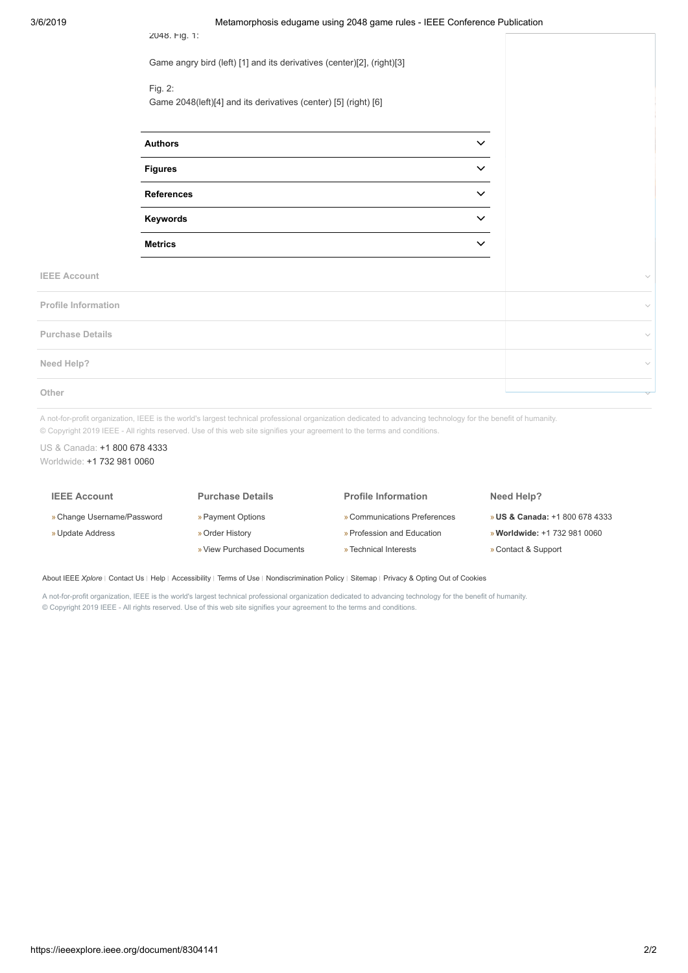2048. Fig. 1:

Game angry bird (left) [1] and its derivatives (center)[2], (right)[3]

# Fig. 2:

Game 2048(left)[4] and its derivatives (center) [5] (right) [6]

| <b>Authors</b>    | $\checkmark$ |
|-------------------|--------------|
| <b>Figures</b>    | $\checkmark$ |
| <b>References</b> | $\check{ }$  |
| Keywords          | $\check{ }$  |
| <b>Metrics</b>    |              |

**IEEE Account**

| <b>Profile Information</b> | $\checkmark$ |
|----------------------------|--------------|
| <b>Purchase Details</b>    | $\checkmark$ |
| Need Help?                 | $\checkmark$ |
| Other                      | $\checkmark$ |

A not-for-profit organization, IEEE is the world's largest technical professional organization dedicated to advancing technology for the benefit of humanity. © Copyright 2019 IEEE - All rights reserved. Use of this web site signifies your agreement to the terms and conditions.

# US & Canada: [+1 800 678 4333](tel:+18006784333) Worldwide: [+1 732 981 0060](tel:+17329810060)

| <b>IEEE Account</b>        | <b>Purchase Details</b>    | <b>Profile Information</b>   | Need Help?                                |
|----------------------------|----------------------------|------------------------------|-------------------------------------------|
| » Change Username/Password | » Payment Options          | » Communications Preferences | <b>» US &amp; Canada: +1 800 678 4333</b> |
| » Update Address           | » Order History            | » Profession and Education   | » Worldwide: +1 732 981 0060              |
|                            | » View Purchased Documents | » Technical Interests        | » Contact & Support                       |

[About IEEE](https://ieeexplore.ieee.org/Xplorehelp/about-ieee-xplore.html) *Xplore* | [Contact Us](https://ieeexplore.ieee.org/xpl/techform.jsp) | [Help](https://ieeexplore.ieee.org/Xplorehelp/Help_start.html) | [Accessibility](https://ieeexplore.ieee.org/Xplorehelp/accessibility-statement.html) | [Terms of Use](https://ieeexplore.ieee.org/Xplorehelp/Help_Terms_of_Use.html) | [Nondiscrimination Policy](http://www.ieee.org/web/aboutus/whatis/policies/p9-26.html) | [Sitemap](https://ieeexplore.ieee.org/xpl/sitemap.jsp) | [Privacy & Opting Out of Cookies](http://www.ieee.org/about/help/security_privacy.html)

A not-for-profit organization, IEEE is the world's largest technical professional organization dedicated to advancing technology for the benefit of humanity. © Copyright 2019 IEEE - All rights reserved. Use of this web site signifies your agreement to the terms and conditions.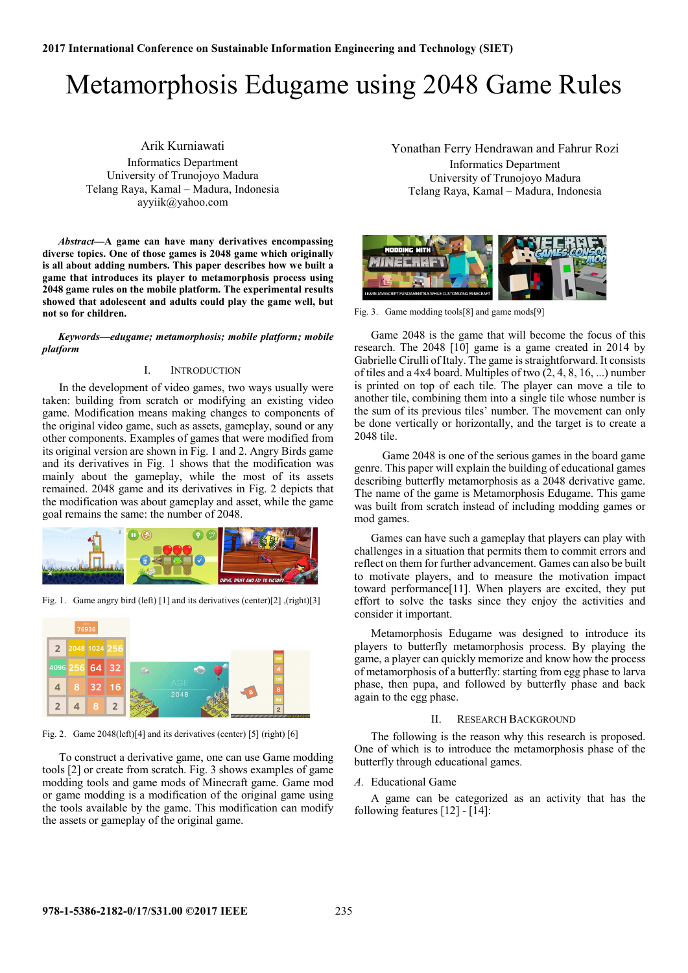# Metamorphosis Edugame using 2048 Game Rules

Arik Kurniawati Informatics Department University of Trunojoyo Madura Telang Raya, Kamal – Madura, Indonesia ayyiik@yahoo.com

*Abstract***—A game can have many derivatives encompassing diverse topics. One of those games is 2048 game which originally is all about adding numbers. This paper describes how we built a game that introduces its player to metamorphosis process using 2048 game rules on the mobile platform. The experimental results showed that adolescent and adults could play the game well, but not so for children.** 

*Keywords—edugame; metamorphosis; mobile platform; mobile platform* 

## I. INTRODUCTION

In the development of video games, two ways usually were taken: building from scratch or modifying an existing video game. Modification means making changes to components of the original video game, such as assets, gameplay, sound or any other components. Examples of games that were modified from its original version are shown in Fig. 1 and 2. Angry Birds game and its derivatives in Fig. 1 shows that the modification was mainly about the gameplay, while the most of its assets remained. 2048 game and its derivatives in Fig. 2 depicts that the modification was about gameplay and asset, while the game goal remains the same: the number of 2048.



Fig. 1. Game angry bird (left) [1] and its derivatives (center)[2] ,(right)[3]



Fig. 2. Game 2048(left)[4] and its derivatives (center) [5] (right) [6]

To construct a derivative game, one can use Game modding tools [2] or create from scratch. Fig. 3 shows examples of game modding tools and game mods of Minecraft game. Game mod or game modding is a modification of the original game using the tools available by the game. This modification can modify the assets or gameplay of the original game.

Yonathan Ferry Hendrawan and Fahrur Rozi Informatics Department University of Trunojoyo Madura Telang Raya, Kamal – Madura, Indonesia



Fig. 3. Game modding tools[8] and game mods[9]

Game 2048 is the game that will become the focus of this research. The 2048 [10] game is a game created in 2014 by Gabrielle Cirulli of Italy. The game is straightforward. It consists of tiles and a 4x4 board. Multiples of two (2, 4, 8, 16, ...) number is printed on top of each tile. The player can move a tile to another tile, combining them into a single tile whose number is the sum of its previous tiles' number. The movement can only be done vertically or horizontally, and the target is to create a 2048 tile.

 Game 2048 is one of the serious games in the board game genre. This paper will explain the building of educational games describing butterfly metamorphosis as a 2048 derivative game. The name of the game is Metamorphosis Edugame. This game was built from scratch instead of including modding games or mod games.

Games can have such a gameplay that players can play with challenges in a situation that permits them to commit errors and reflect on them for further advancement. Games can also be built to motivate players, and to measure the motivation impact toward performance[11]. When players are excited, they put effort to solve the tasks since they enjoy the activities and consider it important.

Metamorphosis Edugame was designed to introduce its players to butterfly metamorphosis process. By playing the game, a player can quickly memorize and know how the process of metamorphosis of a butterfly: starting from egg phase to larva phase, then pupa, and followed by butterfly phase and back again to the egg phase.

#### II. RESEARCH BACKGROUND

The following is the reason why this research is proposed. One of which is to introduce the metamorphosis phase of the butterfly through educational games.

## *A.* Educational Game

A game can be categorized as an activity that has the following features [12] - [14]: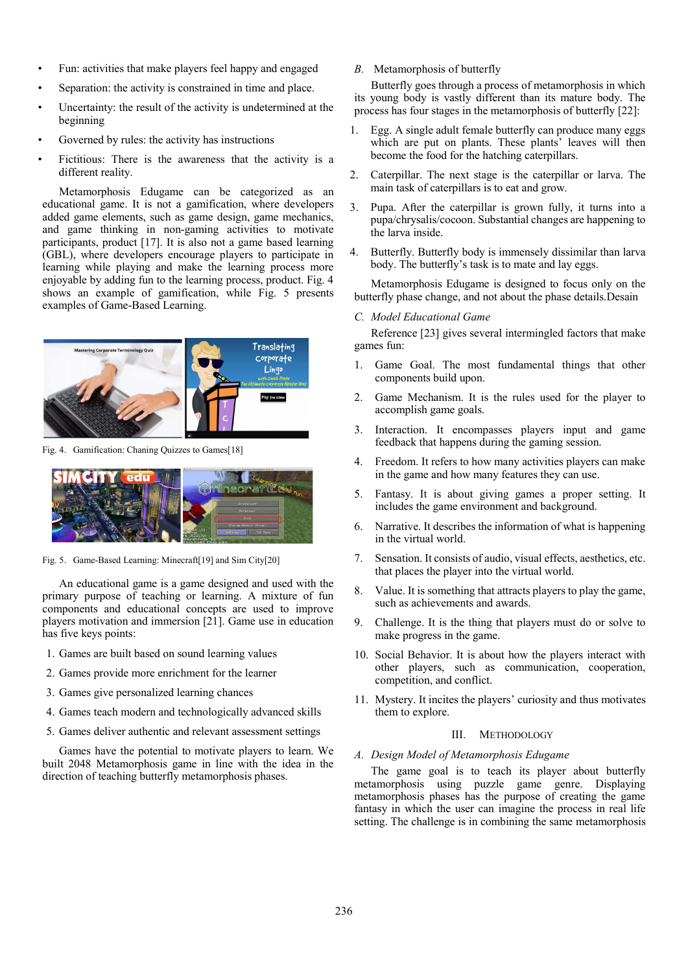- Fun: activities that make players feel happy and engaged
- Separation: the activity is constrained in time and place.
- Uncertainty: the result of the activity is undetermined at the beginning
- Governed by rules: the activity has instructions
- Fictitious: There is the awareness that the activity is a different reality.

Metamorphosis Edugame can be categorized as an educational game. It is not a gamification, where developers added game elements, such as game design, game mechanics, and game thinking in non-gaming activities to motivate participants, product [17]. It is also not a game based learning (GBL), where developers encourage players to participate in learning while playing and make the learning process more enjoyable by adding fun to the learning process, product. Fig. 4 shows an example of gamification, while Fig. 5 presents examples of Game-Based Learning.



Fig. 4. Gamification: Chaning Quizzes to Games[18]



Fig. 5. Game-Based Learning: Minecraft[19] and Sim City[20]

An educational game is a game designed and used with the primary purpose of teaching or learning. A mixture of fun components and educational concepts are used to improve players motivation and immersion [21]. Game use in education has five keys points:

- 1. Games are built based on sound learning values
- 2. Games provide more enrichment for the learner
- 3. Games give personalized learning chances
- 4. Games teach modern and technologically advanced skills
- 5. Games deliver authentic and relevant assessment settings

Games have the potential to motivate players to learn. We built 2048 Metamorphosis game in line with the idea in the direction of teaching butterfly metamorphosis phases.

*B.* Metamorphosis of butterfly

Butterfly goes through a process of metamorphosis in which its young body is vastly different than its mature body. The process has four stages in the metamorphosis of butterfly [22]:

- 1. Egg. A single adult female butterfly can produce many eggs which are put on plants. These plants' leaves will then become the food for the hatching caterpillars.
- 2. Caterpillar. The next stage is the caterpillar or larva. The main task of caterpillars is to eat and grow.
- 3. Pupa. After the caterpillar is grown fully, it turns into a pupa/chrysalis/cocoon. Substantial changes are happening to the larva inside.
- 4. Butterfly. Butterfly body is immensely dissimilar than larva body. The butterfly's task is to mate and lay eggs.

Metamorphosis Edugame is designed to focus only on the butterfly phase change, and not about the phase details.Desain

#### *C. Model Educational Game*

Reference [23] gives several intermingled factors that make games fun:

- 1. Game Goal. The most fundamental things that other components build upon.
- 2. Game Mechanism. It is the rules used for the player to accomplish game goals.
- 3. Interaction. It encompasses players input and game feedback that happens during the gaming session.
- 4. Freedom. It refers to how many activities players can make in the game and how many features they can use.
- 5. Fantasy. It is about giving games a proper setting. It includes the game environment and background.
- 6. Narrative. It describes the information of what is happening in the virtual world.
- 7. Sensation. It consists of audio, visual effects, aesthetics, etc. that places the player into the virtual world.
- 8. Value. It is something that attracts players to play the game, such as achievements and awards.
- 9. Challenge. It is the thing that players must do or solve to make progress in the game.
- 10. Social Behavior. It is about how the players interact with other players, such as communication, cooperation, competition, and conflict.
- 11. Mystery. It incites the players' curiosity and thus motivates them to explore.

# III. METHODOLOGY

### *A. Design Model of Metamorphosis Edugame*

The game goal is to teach its player about butterfly metamorphosis using puzzle game genre. Displaying metamorphosis phases has the purpose of creating the game fantasy in which the user can imagine the process in real life setting. The challenge is in combining the same metamorphosis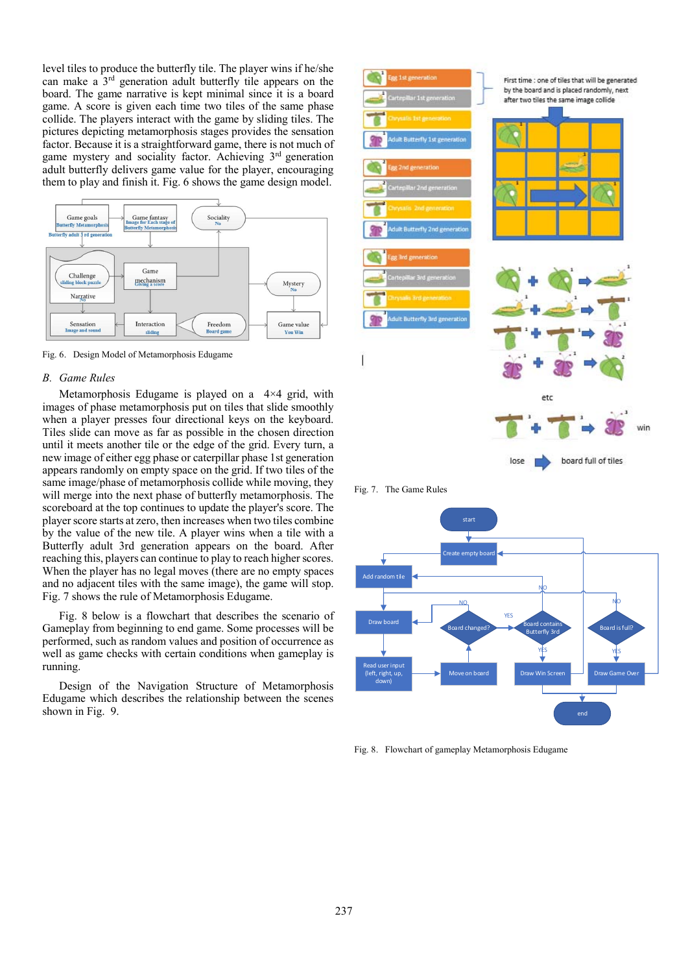level tiles to produce the butterfly tile. The player wins if he/she can make a 3rd generation adult butterfly tile appears on the board. The game narrative is kept minimal since it is a board game. A score is given each time two tiles of the same phase collide. The players interact with the game by sliding tiles. The pictures depicting metamorphosis stages provides the sensation factor. Because it is a straightforward game, there is not much of game mystery and sociality factor. Achieving 3rd generation adult butterfly delivers game value for the player, encouraging them to play and finish it. Fig. 6 shows the game design model.



Fig. 6. Design Model of Metamorphosis Edugame

#### *B. Game Rules*

Metamorphosis Edugame is played on a 4×4 grid, with images of phase metamorphosis put on tiles that slide smoothly when a player presses four directional keys on the keyboard. Tiles slide can move as far as possible in the chosen direction until it meets another tile or the edge of the grid. Every turn, a new image of either egg phase or caterpillar phase 1st generation appears randomly on empty space on the grid. If two tiles of the same image/phase of metamorphosis collide while moving, they will merge into the next phase of butterfly metamorphosis. The scoreboard at the top continues to update the player's score. The player score starts at zero, then increases when two tiles combine by the value of the new tile. A player wins when a tile with a Butterfly adult 3rd generation appears on the board. After reaching this, players can continue to play to reach higher scores. When the player has no legal moves (there are no empty spaces and no adjacent tiles with the same image), the game will stop. Fig. 7 shows the rule of Metamorphosis Edugame.

Fig. 8 below is a flowchart that describes the scenario of Gameplay from beginning to end game. Some processes will be performed, such as random values and position of occurrence as well as game checks with certain conditions when gameplay is running.

Design of the Navigation Structure of Metamorphosis Edugame which describes the relationship between the scenes shown in Fig. 9.



Fig. 7. The Game Rules

![](_page_4_Figure_9.jpeg)

Fig. 8. Flowchart of gameplay Metamorphosis Edugame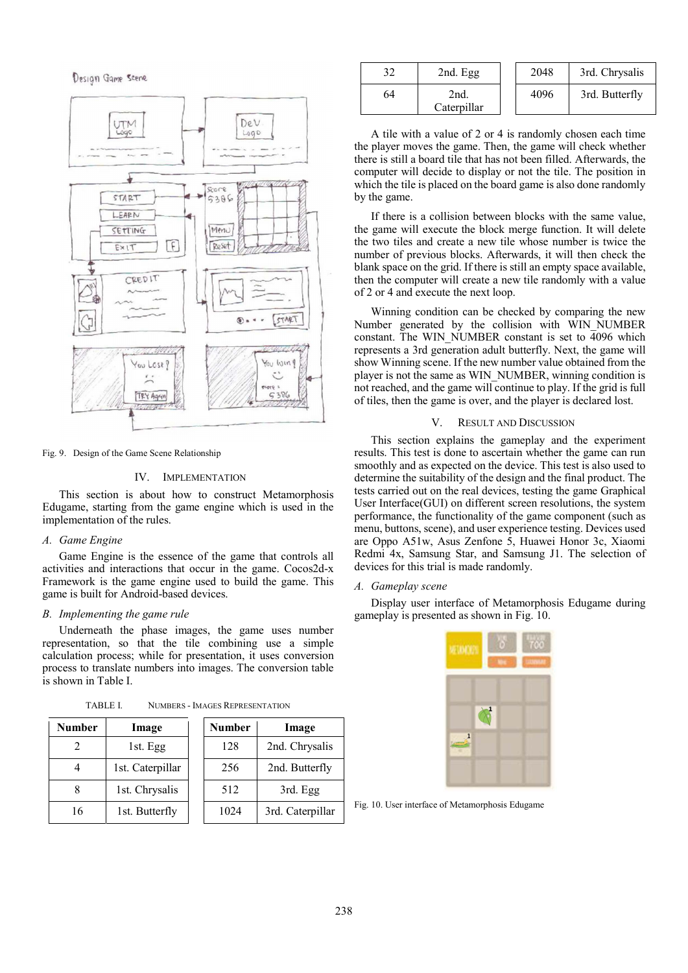Design Game Scene

![](_page_5_Figure_1.jpeg)

Fig. 9. Design of the Game Scene Relationship

#### IV. IMPLEMENTATION

This section is about how to construct Metamorphosis Edugame, starting from the game engine which is used in the implementation of the rules.

## *A. Game Engine*

Game Engine is the essence of the game that controls all activities and interactions that occur in the game. Cocos2d-x Framework is the game engine used to build the game. This game is built for Android-based devices.

#### *B. Implementing the game rule*

Underneath the phase images, the game uses number representation, so that the tile combining use a simple calculation process; while for presentation, it uses conversion process to translate numbers into images. The conversion table is shown in Table I.

| Number | Image            | <b>Number</b> | Image            |
|--------|------------------|---------------|------------------|
|        | 1st. Egg         | 128           | 2nd. Chrysalis   |
|        | 1st. Caterpillar | 256           | 2nd. Butterfly   |
|        | 1st. Chrysalis   | 512           | 3rd. Egg         |
| 16     | 1st. Butterfly   | 1024          | 3rd. Caterpillar |

TABLE I. NUMBERS - IMAGES REPRESENTATION

| 32 | 2nd. Egg            | 2048 | 3rd. Chrysalis |
|----|---------------------|------|----------------|
| 64 | 2nd.<br>Caterpillar | 4096 | 3rd. Butterfly |

A tile with a value of 2 or 4 is randomly chosen each time the player moves the game. Then, the game will check whether there is still a board tile that has not been filled. Afterwards, the computer will decide to display or not the tile. The position in which the tile is placed on the board game is also done randomly by the game.

If there is a collision between blocks with the same value, the game will execute the block merge function. It will delete the two tiles and create a new tile whose number is twice the number of previous blocks. Afterwards, it will then check the blank space on the grid. If there is still an empty space available, then the computer will create a new tile randomly with a value of 2 or 4 and execute the next loop.

Winning condition can be checked by comparing the new Number generated by the collision with WIN\_NUMBER constant. The WIN NUMBER constant is set to 4096 which represents a 3rd generation adult butterfly. Next, the game will show Winning scene. If the new number value obtained from the player is not the same as WIN\_NUMBER, winning condition is not reached, and the game will continue to play. If the grid is full of tiles, then the game is over, and the player is declared lost.

# V. RESULT AND DISCUSSION

This section explains the gameplay and the experiment results. This test is done to ascertain whether the game can run smoothly and as expected on the device. This test is also used to determine the suitability of the design and the final product. The tests carried out on the real devices, testing the game Graphical User Interface(GUI) on different screen resolutions, the system performance, the functionality of the game component (such as menu, buttons, scene), and user experience testing. Devices used are Oppo A51w, Asus Zenfone 5, Huawei Honor 3c, Xiaomi Redmi 4x, Samsung Star, and Samsung J1. The selection of devices for this trial is made randomly.

## *A. Gameplay scene*

Display user interface of Metamorphosis Edugame during gameplay is presented as shown in Fig. 10.

![](_page_5_Picture_19.jpeg)

Fig. 10. User interface of Metamorphosis Edugame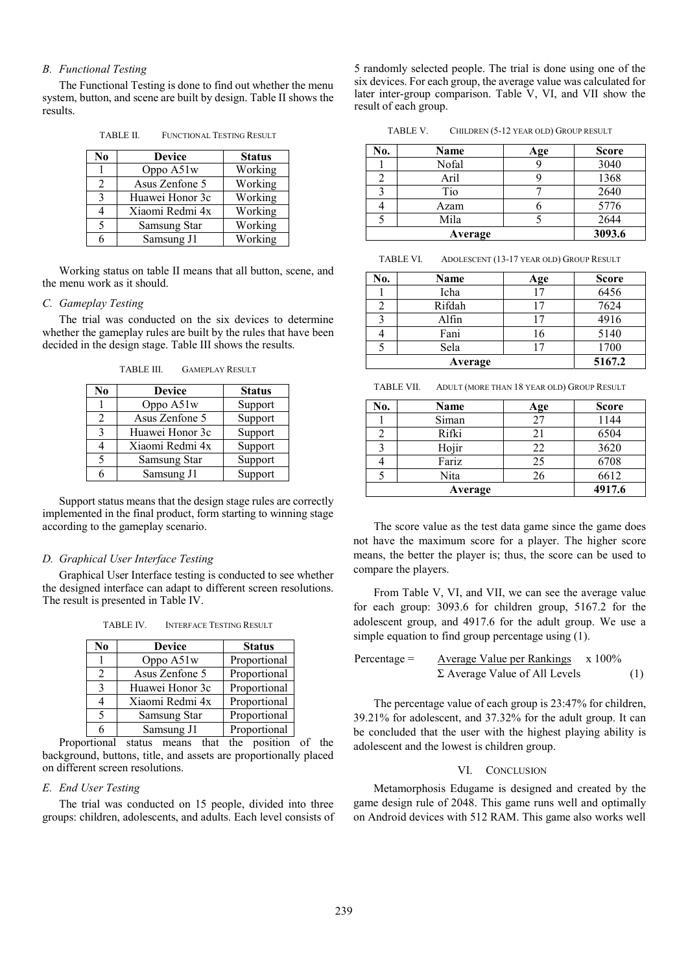# *B. Functional Testing*

The Functional Testing is done to find out whether the menu system, button, and scene are built by design. Table II shows the results.

TABLE II. FUNCTIONAL TESTING RESULT

| N <sub>0</sub> | <b>Device</b>   | <b>Status</b> |
|----------------|-----------------|---------------|
|                | Oppo A51w       | Working       |
| 2              | Asus Zenfone 5  | Working       |
| 3              | Huawei Honor 3c | Working       |
| 4              | Xiaomi Redmi 4x | Working       |
| 5              | Samsung Star    | Working       |
|                | Samsung J1      | Working       |

Working status on table II means that all button, scene, and the menu work as it should.

### *C. Gameplay Testing*

The trial was conducted on the six devices to determine whether the gameplay rules are built by the rules that have been decided in the design stage. Table III shows the results.

TABLE III. GAMEPLAY RESULT

| No | <b>Device</b>   | <b>Status</b> |
|----|-----------------|---------------|
|    | Oppo A51w       | Support       |
| 2  | Asus Zenfone 5  | Support       |
| 3  | Huawei Honor 3c | Support       |
|    | Xiaomi Redmi 4x | Support       |
| 5  | Samsung Star    | Support       |
|    | Samsung J1      | Support       |

Support status means that the design stage rules are correctly implemented in the final product, form starting to winning stage according to the gameplay scenario.

### *D. Graphical User Interface Testing*

Graphical User Interface testing is conducted to see whether the designed interface can adapt to different screen resolutions. The result is presented in Table IV.

TABLE IV. INTERFACE TESTING RESULT

| No             | <b>Device</b>   | <b>Status</b> |
|----------------|-----------------|---------------|
|                | Oppo A51w       | Proportional  |
| $\mathfrak{D}$ | Asus Zenfone 5  | Proportional  |
| 3              | Huawei Honor 3c | Proportional  |
|                | Xiaomi Redmi 4x | Proportional  |
| 5              | Samsung Star    | Proportional  |
| 6              | Samsung J1      | Proportional  |

Proportional status means that the position of the background, buttons, title, and assets are proportionally placed on different screen resolutions.

## *E. End User Testing*

The trial was conducted on 15 people, divided into three groups: children, adolescents, and adults. Each level consists of 5 randomly selected people. The trial is done using one of the six devices. For each group, the average value was calculated for later inter-group comparison. Table V, VI, and VII show the result of each group.

TABLE V. CHILDREN (5-12 YEAR OLD) GROUP RESULT

| No. | Name    | Age | <b>Score</b> |
|-----|---------|-----|--------------|
|     | Nofal   |     | 3040         |
|     | Aril    |     | 1368         |
|     | Tio     |     | 2640         |
|     | Azam    |     | 5776         |
|     | Mila    |     | 2644         |
|     | Average |     | 3093.6       |

TABLE VI. ADOLESCENT (13-17 YEAR OLD) GROUP RESULT

| No.     | Name   | Age | <b>Score</b> |
|---------|--------|-----|--------------|
|         | Icha   | Ξ.  | 6456         |
|         | Rifdah | 17  | 7624         |
|         | Alfin  | 7   | 4916         |
|         | Fani   | 16  | 5140         |
|         | Sela   |     | 1700         |
| Average |        |     | 5167.2       |

TABLE VII. ADULT (MORE THAN 18 YEAR OLD) GROUP RESULT

| No. | Name    | Age | <b>Score</b> |
|-----|---------|-----|--------------|
|     | Siman   | 27  | 1144         |
|     | Rifki   | 21  | 6504         |
|     | Hojir   | 22  | 3620         |
|     | Fariz   | 25  | 6708         |
|     | Nita    | 26  | 6612         |
|     | Average |     | 4917.6       |

The score value as the test data game since the game does not have the maximum score for a player. The higher score means, the better the player is; thus, the score can be used to compare the players.

From Table V, VI, and VII, we can see the average value for each group: 3093.6 for children group, 5167.2 for the adolescent group, and 4917.6 for the adult group. We use a simple equation to find group percentage using (1).

$$
Percentage = \frac{Average Value per Rankings}{\Sigma Average Value of All Levels} \times 100\%
$$
 (1)

The percentage value of each group is 23:47% for children, 39.21% for adolescent, and 37.32% for the adult group. It can be concluded that the user with the highest playing ability is adolescent and the lowest is children group.

# VI. CONCLUSION

Metamorphosis Edugame is designed and created by the game design rule of 2048. This game runs well and optimally on Android devices with 512 RAM. This game also works well